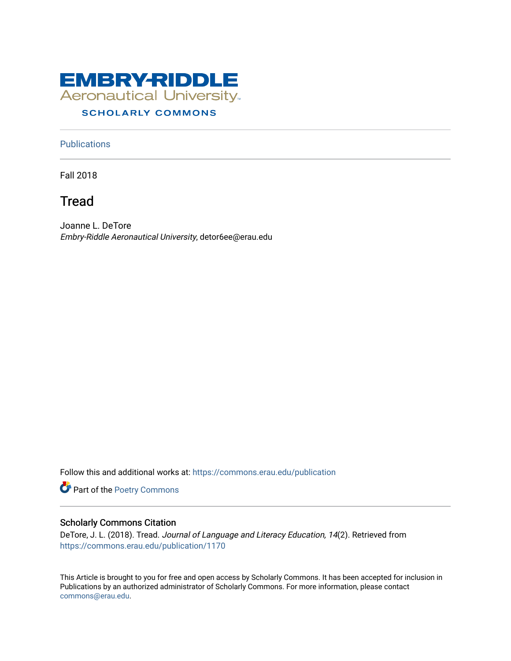

### **SCHOLARLY COMMONS**

#### **Publications**

Fall 2018

## Tread

Joanne L. DeTore Embry-Riddle Aeronautical University, detor6ee@erau.edu

Follow this and additional works at: [https://commons.erau.edu/publication](https://commons.erau.edu/publication?utm_source=commons.erau.edu%2Fpublication%2F1170&utm_medium=PDF&utm_campaign=PDFCoverPages) 

Part of the [Poetry Commons](http://network.bepress.com/hgg/discipline/1153?utm_source=commons.erau.edu%2Fpublication%2F1170&utm_medium=PDF&utm_campaign=PDFCoverPages) 

#### Scholarly Commons Citation

DeTore, J. L. (2018). Tread. Journal of Language and Literacy Education, 14(2). Retrieved from [https://commons.erau.edu/publication/1170](https://commons.erau.edu/publication/1170?utm_source=commons.erau.edu%2Fpublication%2F1170&utm_medium=PDF&utm_campaign=PDFCoverPages)

This Article is brought to you for free and open access by Scholarly Commons. It has been accepted for inclusion in Publications by an authorized administrator of Scholarly Commons. For more information, please contact [commons@erau.edu](mailto:commons@erau.edu).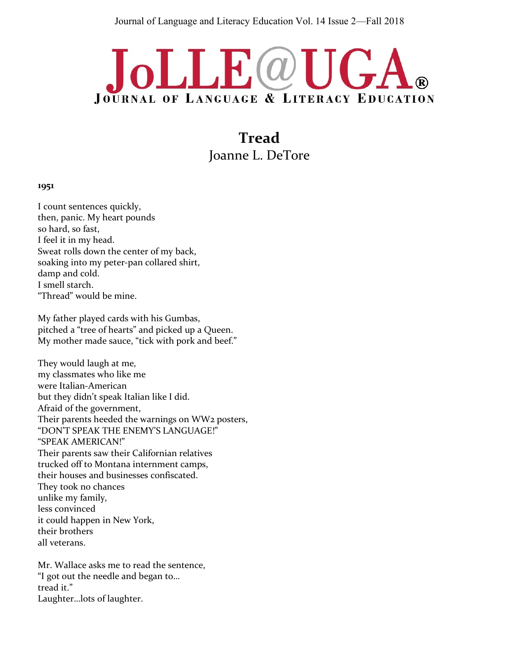# JoLLE@UGA **JOURNAL OF LANGUAGE & LITERACY EDUCATION**

**Tread** Joanne L. DeTore

#### **1951**

I count sentences quickly, then, panic. My heart pounds so hard, so fast, I feel it in my head. Sweat rolls down the center of my back, soaking into my peter-pan collared shirt, damp and cold. I smell starch. "Thread" would be mine.

My father played cards with his Gumbas, pitched a "tree of hearts" and picked up a Queen. My mother made sauce, "tick with pork and beef."

They would laugh at me, my classmates who like me were Italian-American but they didn't speak Italian like I did. Afraid of the government, Their parents heeded the warnings on WW2 posters, "DON'T SPEAK THE ENEMY'S LANGUAGE!" "SPEAK AMERICAN!" Their parents saw their Californian relatives trucked off to Montana internment camps, their houses and businesses confiscated. They took no chances unlike my family, less convinced it could happen in New York, their brothers all veterans.

Mr. Wallace asks me to read the sentence, "I got out the needle and began to… tread it." Laughter…lots of laughter.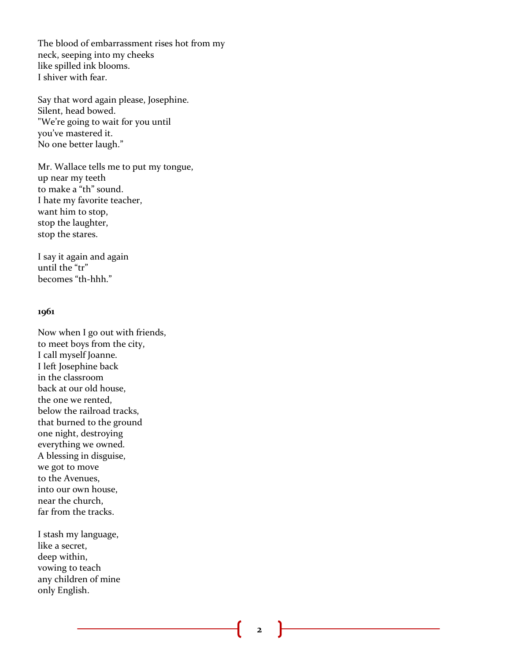The blood of embarrassment rises hot from my neck, seeping into my cheeks like spilled ink blooms. I shiver with fear.

Say that word again please, Josephine. Silent, head bowed. "We're going to wait for you until you've mastered it. No one better laugh."

Mr. Wallace tells me to put my tongue, up near my teeth to make a "th" sound. I hate my favorite teacher, want him to stop, stop the laughter, stop the stares.

I say it again and again until the "tr" becomes "th-hhh."

#### **1961**

Now when I go out with friends, to meet boys from the city, I call myself Joanne. I left Josephine back in the classroom back at our old house, the one we rented, below the railroad tracks, that burned to the ground one night, destroying everything we owned. A blessing in disguise, we got to move to the Avenues, into our own house, near the church, far from the tracks.

I stash my language, like a secret, deep within, vowing to teach any children of mine only English.